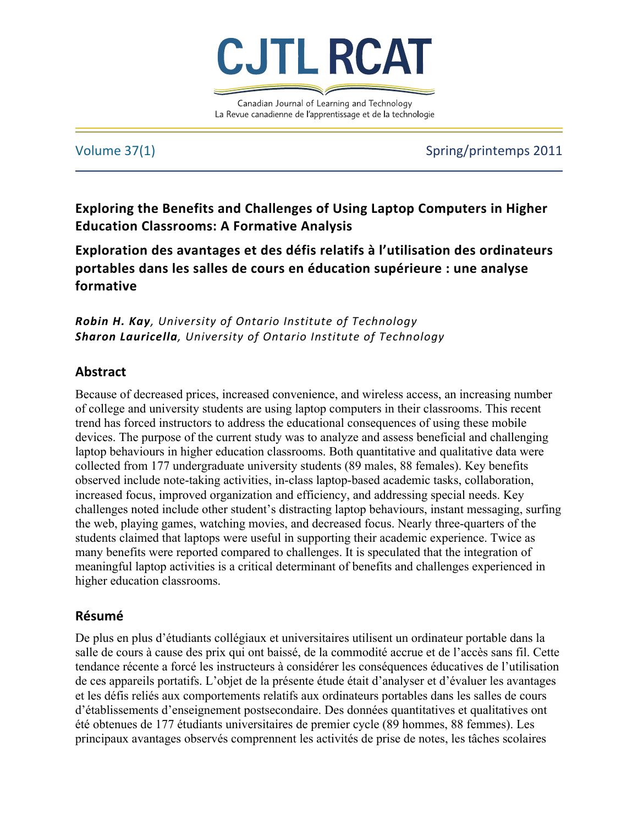

Canadian Journal of Learning and Technology La Revue canadienne de l'apprentissage et de la technologie

Volume 37(1) Spring/printemps 2011

Exploring the Benefits and Challenges of Using Laptop Computers in Higher **Education Classrooms: A Formative Analysis** 

Exploration des avantages et des défis relatifs à l'utilisation des ordinateurs **portables\*dans\*les\*salles\*de\*cours\*en\*éducation\*supérieure :\*une\*analyse\* formative**

*Robin&H.&Kay,"University"of"Ontario"Institute"of"Technology Sharon&Lauricella,"University"of"Ontario"Institute"of"Technology*

# **Abstract**

Because of decreased prices, increased convenience, and wireless access, an increasing number of college and university students are using laptop computers in their classrooms. This recent trend has forced instructors to address the educational consequences of using these mobile devices. The purpose of the current study was to analyze and assess beneficial and challenging laptop behaviours in higher education classrooms. Both quantitative and qualitative data were collected from 177 undergraduate university students (89 males, 88 females). Key benefits observed include note-taking activities, in-class laptop-based academic tasks, collaboration, increased focus, improved organization and efficiency, and addressing special needs. Key challenges noted include other student's distracting laptop behaviours, instant messaging, surfing the web, playing games, watching movies, and decreased focus. Nearly three-quarters of the students claimed that laptops were useful in supporting their academic experience. Twice as many benefits were reported compared to challenges. It is speculated that the integration of meaningful laptop activities is a critical determinant of benefits and challenges experienced in higher education classrooms.

# **Résumé**

De plus en plus d'étudiants collégiaux et universitaires utilisent un ordinateur portable dans la salle de cours à cause des prix qui ont baissé, de la commodité accrue et de l'accès sans fil. Cette tendance récente a forcé les instructeurs à considérer les conséquences éducatives de l'utilisation de ces appareils portatifs. L'objet de la présente étude était d'analyser et d'évaluer les avantages et les défis reliés aux comportements relatifs aux ordinateurs portables dans les salles de cours d'établissements d'enseignement postsecondaire. Des données quantitatives et qualitatives ont été obtenues de 177 étudiants universitaires de premier cycle (89 hommes, 88 femmes). Les principaux avantages observés comprennent les activités de prise de notes, les tâches scolaires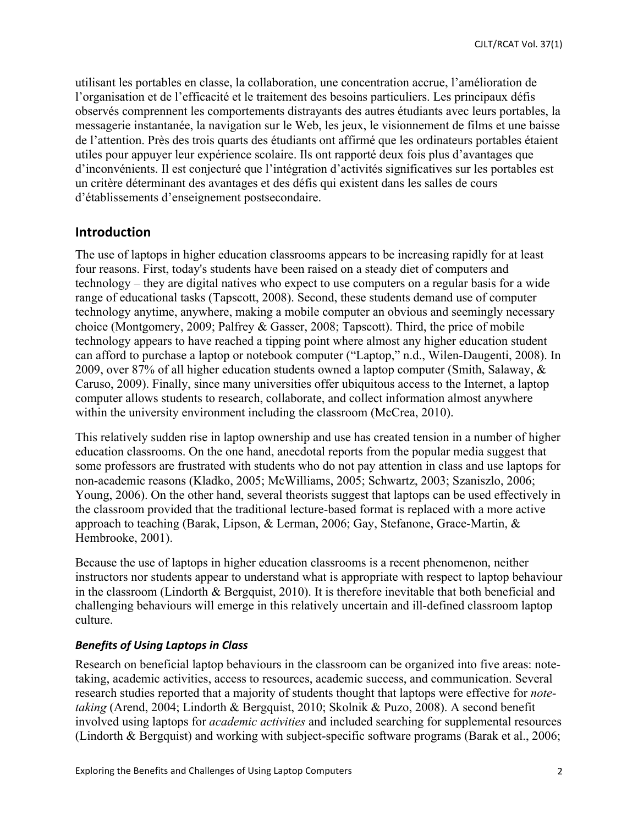utilisant les portables en classe, la collaboration, une concentration accrue, l'amélioration de l'organisation et de l'efficacité et le traitement des besoins particuliers. Les principaux défis observés comprennent les comportements distrayants des autres étudiants avec leurs portables, la messagerie instantanée, la navigation sur le Web, les jeux, le visionnement de films et une baisse de l'attention. Près des trois quarts des étudiants ont affirmé que les ordinateurs portables étaient utiles pour appuyer leur expérience scolaire. Ils ont rapporté deux fois plus d'avantages que d'inconvénients. Il est conjecturé que l'intégration d'activités significatives sur les portables est un critère déterminant des avantages et des défis qui existent dans les salles de cours d'établissements d'enseignement postsecondaire.

# **Introduction**

The use of laptops in higher education classrooms appears to be increasing rapidly for at least four reasons. First, today's students have been raised on a steady diet of computers and technology – they are digital natives who expect to use computers on a regular basis for a wide range of educational tasks (Tapscott, 2008). Second, these students demand use of computer technology anytime, anywhere, making a mobile computer an obvious and seemingly necessary choice (Montgomery, 2009; Palfrey & Gasser, 2008; Tapscott). Third, the price of mobile technology appears to have reached a tipping point where almost any higher education student can afford to purchase a laptop or notebook computer ("Laptop," n.d., Wilen-Daugenti, 2008). In 2009, over 87% of all higher education students owned a laptop computer (Smith, Salaway, & Caruso, 2009). Finally, since many universities offer ubiquitous access to the Internet, a laptop computer allows students to research, collaborate, and collect information almost anywhere within the university environment including the classroom (McCrea, 2010).

This relatively sudden rise in laptop ownership and use has created tension in a number of higher education classrooms. On the one hand, anecdotal reports from the popular media suggest that some professors are frustrated with students who do not pay attention in class and use laptops for non-academic reasons (Kladko, 2005; McWilliams, 2005; Schwartz, 2003; Szaniszlo, 2006; Young, 2006). On the other hand, several theorists suggest that laptops can be used effectively in the classroom provided that the traditional lecture-based format is replaced with a more active approach to teaching (Barak, Lipson, & Lerman, 2006; Gay, Stefanone, Grace-Martin, & Hembrooke, 2001).

Because the use of laptops in higher education classrooms is a recent phenomenon, neither instructors nor students appear to understand what is appropriate with respect to laptop behaviour in the classroom (Lindorth & Bergquist, 2010). It is therefore inevitable that both beneficial and challenging behaviours will emerge in this relatively uncertain and ill-defined classroom laptop culture.

## **Benefits of Using Laptops in Class**

Research on beneficial laptop behaviours in the classroom can be organized into five areas: notetaking, academic activities, access to resources, academic success, and communication. Several research studies reported that a majority of students thought that laptops were effective for *notetaking* (Arend, 2004; Lindorth & Bergquist, 2010; Skolnik & Puzo, 2008). A second benefit involved using laptops for *academic activities* and included searching for supplemental resources (Lindorth & Bergquist) and working with subject-specific software programs (Barak et al., 2006;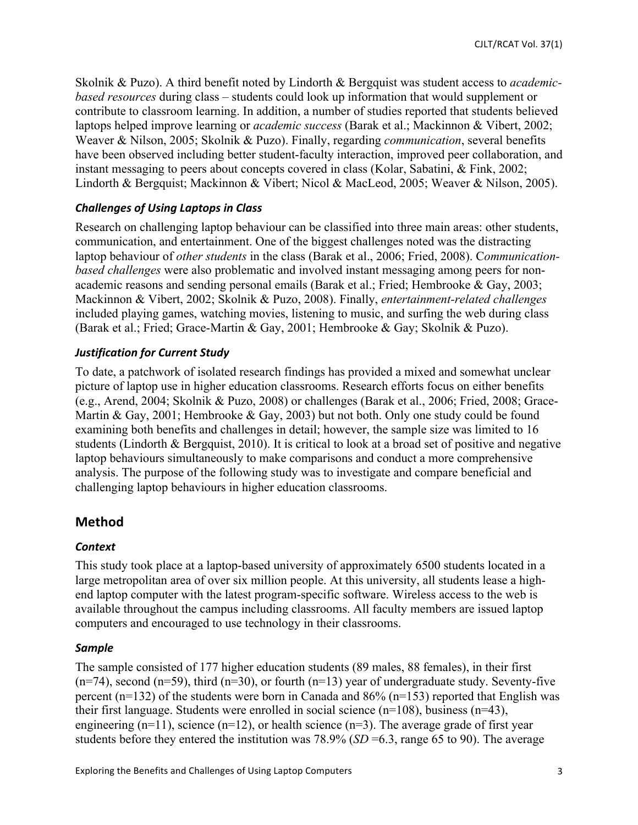Skolnik & Puzo). A third benefit noted by Lindorth & Bergquist was student access to *academicbased resources* during class – students could look up information that would supplement or contribute to classroom learning. In addition, a number of studies reported that students believed laptops helped improve learning or *academic success* (Barak et al.; Mackinnon & Vibert, 2002; Weaver & Nilson, 2005; Skolnik & Puzo). Finally, regarding *communication*, several benefits have been observed including better student-faculty interaction, improved peer collaboration, and instant messaging to peers about concepts covered in class (Kolar, Sabatini, & Fink, 2002; Lindorth & Bergquist; Mackinnon & Vibert; Nicol & MacLeod, 2005; Weaver & Nilson, 2005).

## **Challenges of Using Laptops in Class**

Research on challenging laptop behaviour can be classified into three main areas: other students, communication, and entertainment. One of the biggest challenges noted was the distracting laptop behaviour of *other students* in the class (Barak et al., 2006; Fried, 2008). C*ommunicationbased challenges* were also problematic and involved instant messaging among peers for nonacademic reasons and sending personal emails (Barak et al.; Fried; Hembrooke & Gay, 2003; Mackinnon & Vibert, 2002; Skolnik & Puzo, 2008). Finally, *entertainment-related challenges* included playing games, watching movies, listening to music, and surfing the web during class (Barak et al.; Fried; Grace-Martin & Gay, 2001; Hembrooke & Gay; Skolnik & Puzo).

## **Justification for Current Study**

To date, a patchwork of isolated research findings has provided a mixed and somewhat unclear picture of laptop use in higher education classrooms. Research efforts focus on either benefits (e.g., Arend, 2004; Skolnik & Puzo, 2008) or challenges (Barak et al., 2006; Fried, 2008; Grace-Martin & Gay, 2001; Hembrooke & Gay, 2003) but not both. Only one study could be found examining both benefits and challenges in detail; however, the sample size was limited to 16 students (Lindorth & Bergquist, 2010). It is critical to look at a broad set of positive and negative laptop behaviours simultaneously to make comparisons and conduct a more comprehensive analysis. The purpose of the following study was to investigate and compare beneficial and challenging laptop behaviours in higher education classrooms.

# **Method**

# *Context*

This study took place at a laptop-based university of approximately 6500 students located in a large metropolitan area of over six million people. At this university, all students lease a highend laptop computer with the latest program-specific software. Wireless access to the web is available throughout the campus including classrooms. All faculty members are issued laptop computers and encouraged to use technology in their classrooms.

#### *Sample*

The sample consisted of 177 higher education students (89 males, 88 females), in their first  $(n=74)$ , second  $(n=59)$ , third  $(n=30)$ , or fourth  $(n=13)$  year of undergraduate study. Seventy-five percent (n=132) of the students were born in Canada and 86% (n=153) reported that English was their first language. Students were enrolled in social science (n=108), business (n=43), engineering  $(n=11)$ , science  $(n=12)$ , or health science  $(n=3)$ . The average grade of first year students before they entered the institution was 78.9% (*SD* =6.3, range 65 to 90). The average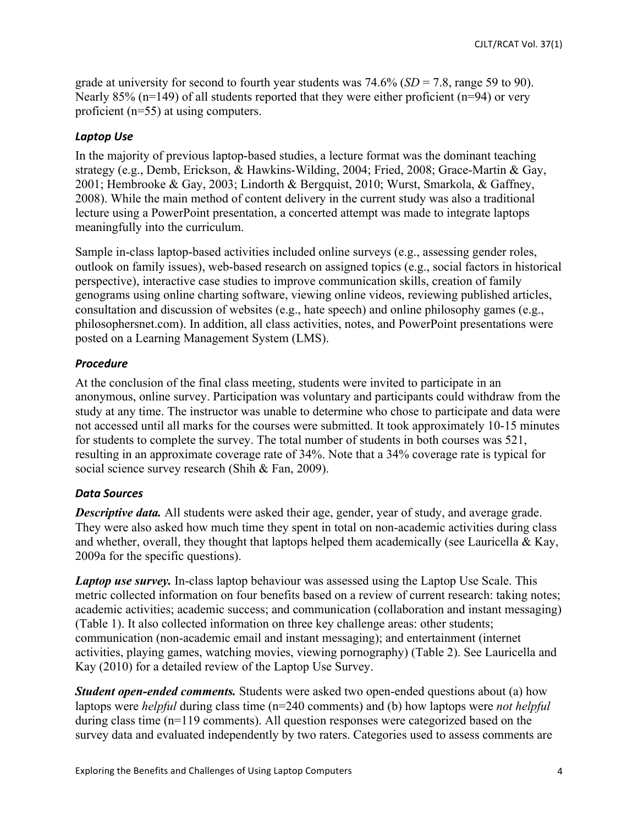grade at university for second to fourth year students was 74.6% (*SD* = 7.8, range 59 to 90). Nearly 85% ( $n=149$ ) of all students reported that they were either proficient ( $n=94$ ) or very proficient (n=55) at using computers.

# Laptop Use

In the majority of previous laptop-based studies, a lecture format was the dominant teaching strategy (e.g., Demb, Erickson, & Hawkins-Wilding, 2004; Fried, 2008; Grace-Martin & Gay, 2001; Hembrooke & Gay, 2003; Lindorth & Bergquist, 2010; Wurst, Smarkola, & Gaffney, 2008). While the main method of content delivery in the current study was also a traditional lecture using a PowerPoint presentation, a concerted attempt was made to integrate laptops meaningfully into the curriculum.

Sample in-class laptop-based activities included online surveys (e.g., assessing gender roles, outlook on family issues), web-based research on assigned topics (e.g., social factors in historical perspective), interactive case studies to improve communication skills, creation of family genograms using online charting software, viewing online videos, reviewing published articles, consultation and discussion of websites (e.g., hate speech) and online philosophy games (e.g., philosophersnet.com). In addition, all class activities, notes, and PowerPoint presentations were posted on a Learning Management System (LMS).

# *Procedure*

At the conclusion of the final class meeting, students were invited to participate in an anonymous, online survey. Participation was voluntary and participants could withdraw from the study at any time. The instructor was unable to determine who chose to participate and data were not accessed until all marks for the courses were submitted. It took approximately 10-15 minutes for students to complete the survey. The total number of students in both courses was 521, resulting in an approximate coverage rate of 34%. Note that a 34% coverage rate is typical for social science survey research (Shih & Fan, 2009).

# *Data&Sources*

*Descriptive data.* All students were asked their age, gender, year of study, and average grade. They were also asked how much time they spent in total on non-academic activities during class and whether, overall, they thought that laptops helped them academically (see Lauricella  $\&$  Kay, 2009a for the specific questions).

*Laptop use survey.* In-class laptop behaviour was assessed using the Laptop Use Scale. This metric collected information on four benefits based on a review of current research: taking notes; academic activities; academic success; and communication (collaboration and instant messaging) (Table 1). It also collected information on three key challenge areas: other students; communication (non-academic email and instant messaging); and entertainment (internet activities, playing games, watching movies, viewing pornography) (Table 2). See Lauricella and Kay (2010) for a detailed review of the Laptop Use Survey.

*Student open-ended comments.* Students were asked two open-ended questions about (a) how laptops were *helpful* during class time (n=240 comments) and (b) how laptops were *not helpful*  during class time (n=119 comments). All question responses were categorized based on the survey data and evaluated independently by two raters. Categories used to assess comments are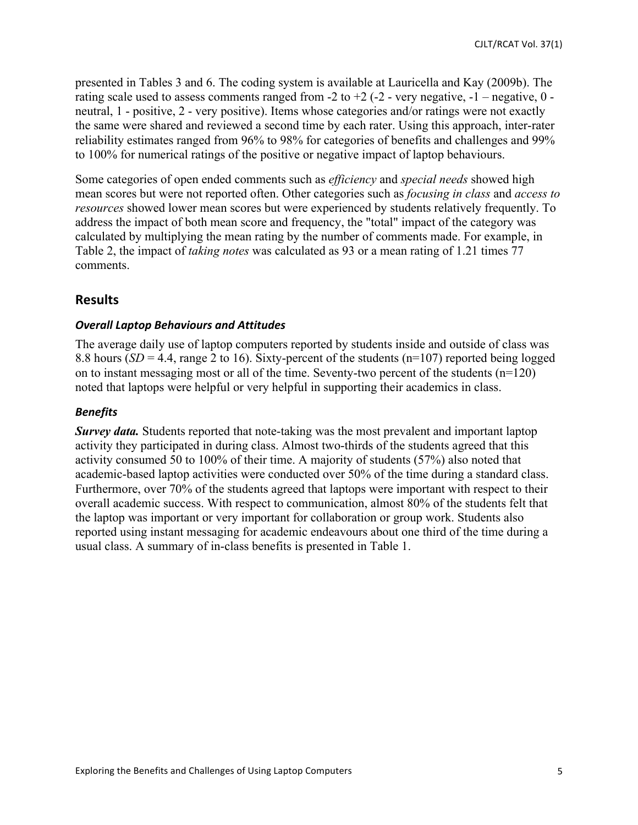presented in Tables 3 and 6. The coding system is available at Lauricella and Kay (2009b). The rating scale used to assess comments ranged from  $-2$  to  $+2$  ( $-2$  - very negative,  $-1$  – negative,  $0$  – neutral, 1 - positive, 2 - very positive). Items whose categories and/or ratings were not exactly the same were shared and reviewed a second time by each rater. Using this approach, inter-rater reliability estimates ranged from 96% to 98% for categories of benefits and challenges and 99% to 100% for numerical ratings of the positive or negative impact of laptop behaviours.

Some categories of open ended comments such as *efficiency* and *special needs* showed high mean scores but were not reported often. Other categories such as *focusing in class* and *access to resources* showed lower mean scores but were experienced by students relatively frequently. To address the impact of both mean score and frequency, the "total" impact of the category was calculated by multiplying the mean rating by the number of comments made. For example, in Table 2, the impact of *taking notes* was calculated as 93 or a mean rating of 1.21 times 77 comments.

# **Results**

#### **Overall Laptop Behaviours and Attitudes**

The average daily use of laptop computers reported by students inside and outside of class was 8.8 hours ( $SD = 4.4$ , range 2 to 16). Sixty-percent of the students ( $n=107$ ) reported being logged on to instant messaging most or all of the time. Seventy-two percent of the students (n=120) noted that laptops were helpful or very helpful in supporting their academics in class.

### *Benefits*

*Survey data.* Students reported that note-taking was the most prevalent and important laptop activity they participated in during class. Almost two-thirds of the students agreed that this activity consumed 50 to 100% of their time. A majority of students (57%) also noted that academic-based laptop activities were conducted over 50% of the time during a standard class. Furthermore, over 70% of the students agreed that laptops were important with respect to their overall academic success. With respect to communication, almost 80% of the students felt that the laptop was important or very important for collaboration or group work. Students also reported using instant messaging for academic endeavours about one third of the time during a usual class. A summary of in-class benefits is presented in Table 1.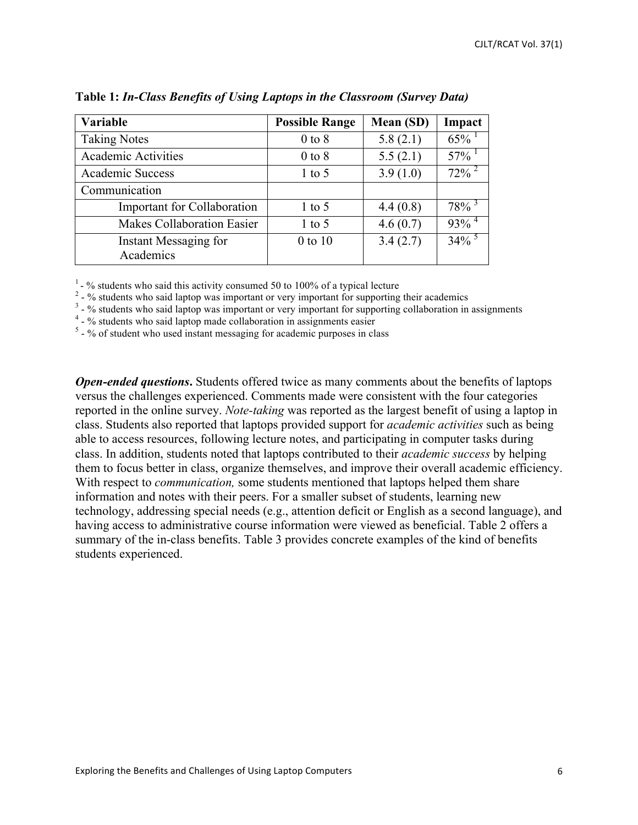| Variable                           | <b>Possible Range</b> | Mean (SD) | Impact              |
|------------------------------------|-----------------------|-----------|---------------------|
| <b>Taking Notes</b>                | $0$ to $8$            | 5.8(2.1)  | 65%                 |
| <b>Academic Activities</b>         | $0$ to $8$            | 5.5(2.1)  | 57%                 |
| Academic Success                   | $1$ to 5              | 3.9(1.0)  | $72\%$ <sup>2</sup> |
| Communication                      |                       |           |                     |
| Important for Collaboration        | $1$ to 5              | 4.4(0.8)  | $78\%$ <sup>3</sup> |
| <b>Makes Collaboration Easier</b>  | $1$ to 5              | 4.6(0.7)  | $93\%$ <sup>4</sup> |
| Instant Messaging for<br>Academics | $0$ to $10$           | 3.4(2.7)  | 34%                 |

**Table 1:** *In-Class Benefits of Using Laptops in the Classroom (Survey Data)*

<sup>1</sup> - % students who said this activity consumed 50 to 100% of a typical lecture<br><sup>2</sup> - % students who said laptop was important or very important for supporting their academics<br><sup>3</sup> - % students who said laptop was importa

*Open-ended questions***.** Students offered twice as many comments about the benefits of laptops versus the challenges experienced. Comments made were consistent with the four categories reported in the online survey. *Note-taking* was reported as the largest benefit of using a laptop in class. Students also reported that laptops provided support for *academic activities* such as being able to access resources, following lecture notes, and participating in computer tasks during class. In addition, students noted that laptops contributed to their *academic success* by helping them to focus better in class, organize themselves, and improve their overall academic efficiency. With respect to *communication,* some students mentioned that laptops helped them share information and notes with their peers. For a smaller subset of students, learning new technology, addressing special needs (e.g., attention deficit or English as a second language), and having access to administrative course information were viewed as beneficial. Table 2 offers a summary of the in-class benefits. Table 3 provides concrete examples of the kind of benefits students experienced.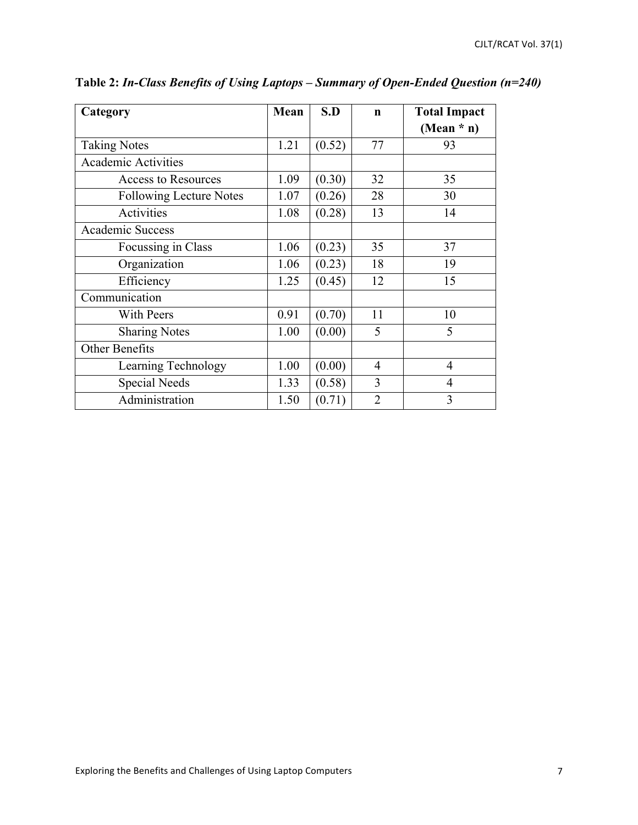| Category                       | Mean | S.D    | $\mathbf n$    | <b>Total Impact</b> |
|--------------------------------|------|--------|----------------|---------------------|
|                                |      |        |                | (Mean $*$ n)        |
| <b>Taking Notes</b>            | 1.21 | (0.52) | 77             | 93                  |
| <b>Academic Activities</b>     |      |        |                |                     |
| <b>Access to Resources</b>     | 1.09 | (0.30) | 32             | 35                  |
| <b>Following Lecture Notes</b> | 1.07 | (0.26) | 28             | 30                  |
| Activities                     | 1.08 | (0.28) | 13             | 14                  |
| <b>Academic Success</b>        |      |        |                |                     |
| Focussing in Class             | 1.06 | (0.23) | 35             | 37                  |
| Organization                   | 1.06 | (0.23) | 18             | 19                  |
| Efficiency                     | 1.25 | (0.45) | 12             | 15                  |
| Communication                  |      |        |                |                     |
| <b>With Peers</b>              | 0.91 | (0.70) | 11             | 10                  |
| <b>Sharing Notes</b>           | 1.00 | (0.00) | 5              | 5                   |
| Other Benefits                 |      |        |                |                     |
| Learning Technology            | 1.00 | (0.00) | $\overline{4}$ | $\overline{4}$      |
| <b>Special Needs</b>           | 1.33 | (0.58) | 3              | 4                   |
| Administration                 | 1.50 | (0.71) | $\overline{2}$ | 3                   |

**Table 2:** *In-Class Benefits of Using Laptops – Summary of Open-Ended Question (n=240)*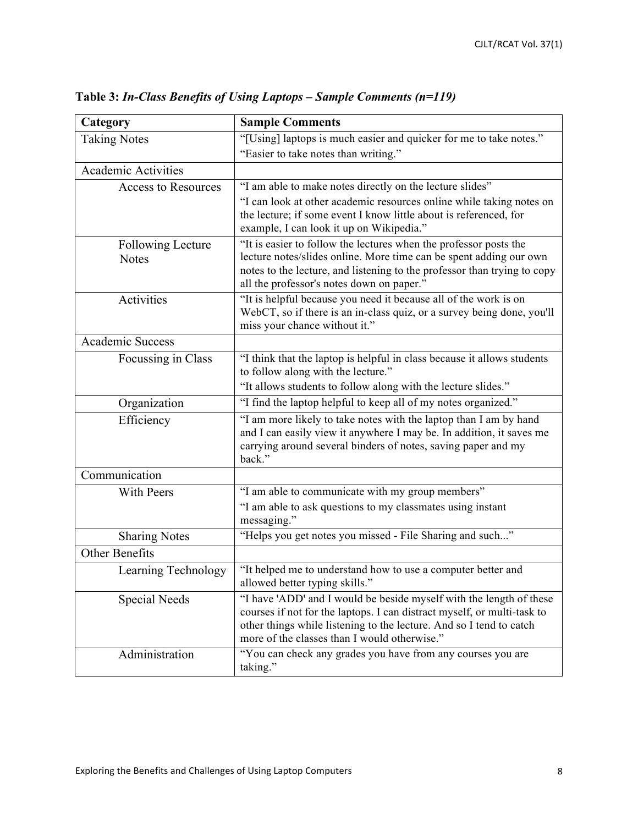| Category                                 | <b>Sample Comments</b>                                                                                                                                                                                                                                                |
|------------------------------------------|-----------------------------------------------------------------------------------------------------------------------------------------------------------------------------------------------------------------------------------------------------------------------|
| <b>Taking Notes</b>                      | "[Using] laptops is much easier and quicker for me to take notes."<br>"Easier to take notes than writing."                                                                                                                                                            |
| <b>Academic Activities</b>               |                                                                                                                                                                                                                                                                       |
|                                          |                                                                                                                                                                                                                                                                       |
| <b>Access to Resources</b>               | "I am able to make notes directly on the lecture slides"                                                                                                                                                                                                              |
|                                          | "I can look at other academic resources online while taking notes on<br>the lecture; if some event I know little about is referenced, for<br>example, I can look it up on Wikipedia."                                                                                 |
| <b>Following Lecture</b><br><b>Notes</b> | "It is easier to follow the lectures when the professor posts the<br>lecture notes/slides online. More time can be spent adding our own                                                                                                                               |
|                                          | notes to the lecture, and listening to the professor than trying to copy<br>all the professor's notes down on paper."                                                                                                                                                 |
| Activities                               | "It is helpful because you need it because all of the work is on<br>WebCT, so if there is an in-class quiz, or a survey being done, you'll                                                                                                                            |
|                                          | miss your chance without it."                                                                                                                                                                                                                                         |
| <b>Academic Success</b>                  |                                                                                                                                                                                                                                                                       |
| Focussing in Class                       | "I think that the laptop is helpful in class because it allows students<br>to follow along with the lecture."                                                                                                                                                         |
|                                          | "It allows students to follow along with the lecture slides."                                                                                                                                                                                                         |
| Organization                             | "I find the laptop helpful to keep all of my notes organized."                                                                                                                                                                                                        |
| Efficiency                               | "I am more likely to take notes with the laptop than I am by hand<br>and I can easily view it anywhere I may be. In addition, it saves me<br>carrying around several binders of notes, saving paper and my<br>back."                                                  |
| Communication                            |                                                                                                                                                                                                                                                                       |
| With Peers                               | "I am able to communicate with my group members"                                                                                                                                                                                                                      |
|                                          | "I am able to ask questions to my classmates using instant<br>messaging."                                                                                                                                                                                             |
| <b>Sharing Notes</b>                     | "Helps you get notes you missed - File Sharing and such"                                                                                                                                                                                                              |
| Other Benefits                           |                                                                                                                                                                                                                                                                       |
| Learning Technology                      | "It helped me to understand how to use a computer better and<br>allowed better typing skills."                                                                                                                                                                        |
| Special Needs                            | "I have 'ADD' and I would be beside myself with the length of these<br>courses if not for the laptops. I can distract myself, or multi-task to<br>other things while listening to the lecture. And so I tend to catch<br>more of the classes than I would otherwise." |
| Administration                           | "You can check any grades you have from any courses you are<br>taking."                                                                                                                                                                                               |

**Table 3:** *In-Class Benefits of Using Laptops – Sample Comments (n=119)*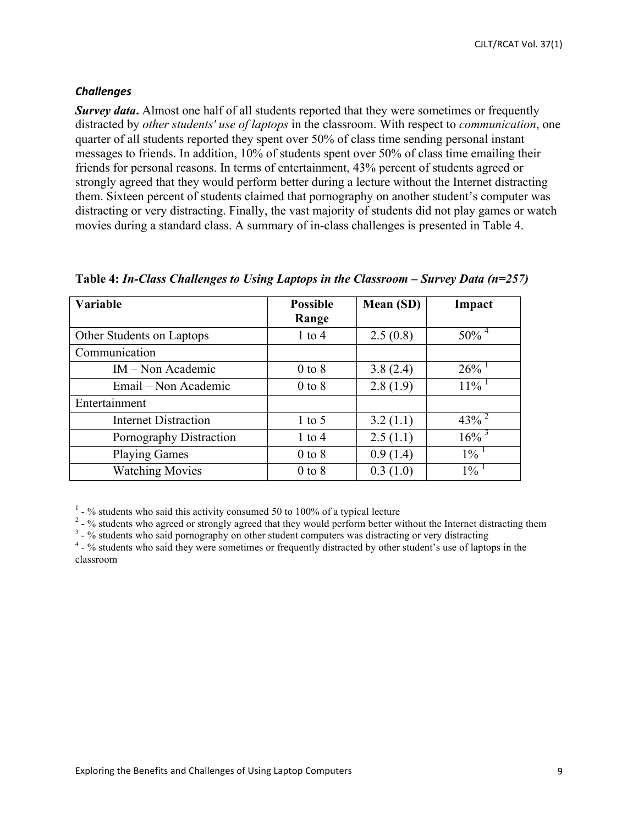# *Challenges*

*Survey data*. Almost one half of all students reported that they were sometimes or frequently distracted by *other students' use of laptops* in the classroom. With respect to *communication*, one quarter of all students reported they spent over 50% of class time sending personal instant messages to friends. In addition, 10% of students spent over 50% of class time emailing their friends for personal reasons. In terms of entertainment, 43% percent of students agreed or strongly agreed that they would perform better during a lecture without the Internet distracting them. Sixteen percent of students claimed that pornography on another student's computer was distracting or very distracting. Finally, the vast majority of students did not play games or watch movies during a standard class. A summary of in-class challenges is presented in Table 4.

| Variable                    | <b>Possible</b> | Mean (SD) | Impact              |
|-----------------------------|-----------------|-----------|---------------------|
|                             | Range           |           |                     |
| Other Students on Laptops   | $1$ to $4$      | 2.5(0.8)  | $50\%$ <sup>4</sup> |
| Communication               |                 |           |                     |
| $IM - Non Academic$         | $0$ to $8$      | 3.8(2.4)  | 26%                 |
| Email – Non Academic        | $0$ to $8$      | 2.8(1.9)  | $11\%$ <sup>1</sup> |
| Entertainment               |                 |           |                     |
| <b>Internet Distraction</b> | $1$ to 5        | 3.2(1.1)  | $43\%$ <sup>2</sup> |
| Pornography Distraction     | $1$ to $4$      | 2.5(1.1)  | $16\%$ <sup>3</sup> |
| <b>Playing Games</b>        | $0$ to $8$      | 0.9(1.4)  | $1\%$ <sup>1</sup>  |
| <b>Watching Movies</b>      | $0$ to $8$      | 0.3(1.0)  | $1\%$ <sup>1</sup>  |

**Table 4:** *In-Class Challenges to Using Laptops in the Classroom – Survey Data (n=257)*

<sup>1</sup> - % students who said this activity consumed 50 to 100% of a typical lecture<br><sup>2</sup> - % students who agreed or strongly agreed that they would perform better without the Internet distracting them<br><sup>3</sup> - % students who sai

classroom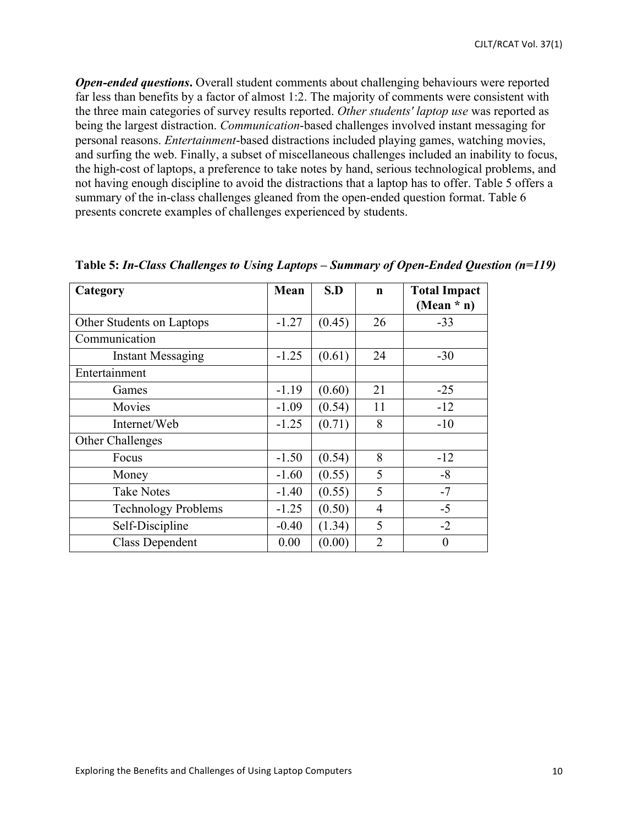*Open-ended questions***.** Overall student comments about challenging behaviours were reported far less than benefits by a factor of almost 1:2. The majority of comments were consistent with the three main categories of survey results reported. *Other students' laptop use* was reported as being the largest distraction. *Communication*-based challenges involved instant messaging for personal reasons. *Entertainment*-based distractions included playing games, watching movies, and surfing the web. Finally, a subset of miscellaneous challenges included an inability to focus, the high-cost of laptops, a preference to take notes by hand, serious technological problems, and not having enough discipline to avoid the distractions that a laptop has to offer. Table 5 offers a summary of the in-class challenges gleaned from the open-ended question format. Table 6 presents concrete examples of challenges experienced by students.

| Category                   | Mean    | S.D    | $\mathbf n$    | <b>Total Impact</b> |
|----------------------------|---------|--------|----------------|---------------------|
|                            |         |        |                | (Mean $*$ n)        |
| Other Students on Laptops  | $-1.27$ | (0.45) | 26             | $-33$               |
| Communication              |         |        |                |                     |
| <b>Instant Messaging</b>   | $-1.25$ | (0.61) | 24             | $-30$               |
| Entertainment              |         |        |                |                     |
| Games                      | $-1.19$ | (0.60) | 21             | $-25$               |
| Movies                     | $-1.09$ | (0.54) | 11             | $-12$               |
| Internet/Web               | $-1.25$ | (0.71) | 8              | $-10$               |
| Other Challenges           |         |        |                |                     |
| Focus                      | $-1.50$ | (0.54) | 8              | $-12$               |
| Money                      | $-1.60$ | (0.55) | 5              | $-8$                |
| <b>Take Notes</b>          | $-1.40$ | (0.55) | 5              | $-7$                |
| <b>Technology Problems</b> | $-1.25$ | (0.50) | 4              | $-5$                |
| Self-Discipline            | $-0.40$ | (1.34) | 5              | $-2$                |
| <b>Class Dependent</b>     | 0.00    | (0.00) | $\overline{2}$ | $\overline{0}$      |

**Table 5:** *In-Class Challenges to Using Laptops* **–** *Summary of Open-Ended Question (n=119)*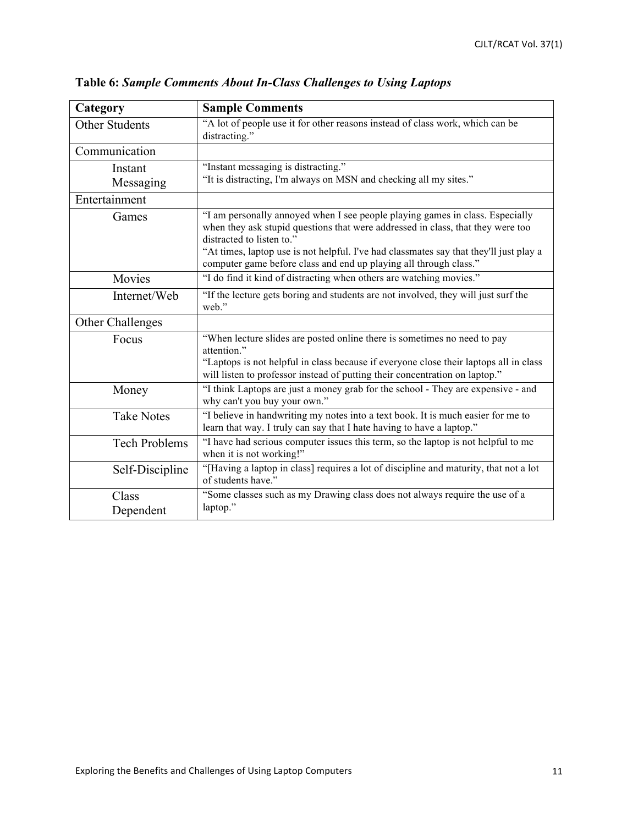| Category                  | <b>Sample Comments</b>                                                                                                                                                                                                                                                                                                                                       |
|---------------------------|--------------------------------------------------------------------------------------------------------------------------------------------------------------------------------------------------------------------------------------------------------------------------------------------------------------------------------------------------------------|
| <b>Other Students</b>     | "A lot of people use it for other reasons instead of class work, which can be<br>distracting."                                                                                                                                                                                                                                                               |
| Communication             |                                                                                                                                                                                                                                                                                                                                                              |
| Instant<br>Messaging      | "Instant messaging is distracting."<br>"It is distracting, I'm always on MSN and checking all my sites."                                                                                                                                                                                                                                                     |
| Entertainment             |                                                                                                                                                                                                                                                                                                                                                              |
| Games                     | "I am personally annoyed when I see people playing games in class. Especially<br>when they ask stupid questions that were addressed in class, that they were too<br>distracted to listen to."<br>"At times, laptop use is not helpful. I've had classmates say that they'll just play a<br>computer game before class and end up playing all through class." |
| Movies                    | "I do find it kind of distracting when others are watching movies."                                                                                                                                                                                                                                                                                          |
| Internet/Web              | "If the lecture gets boring and students are not involved, they will just surf the<br>web."                                                                                                                                                                                                                                                                  |
| Other Challenges          |                                                                                                                                                                                                                                                                                                                                                              |
| Focus                     | "When lecture slides are posted online there is sometimes no need to pay<br>attention."<br>"Laptops is not helpful in class because if everyone close their laptops all in class<br>will listen to professor instead of putting their concentration on laptop."                                                                                              |
| Money                     | "I think Laptops are just a money grab for the school - They are expensive - and<br>why can't you buy your own."                                                                                                                                                                                                                                             |
| <b>Take Notes</b>         | "I believe in handwriting my notes into a text book. It is much easier for me to<br>learn that way. I truly can say that I hate having to have a laptop."                                                                                                                                                                                                    |
| <b>Tech Problems</b>      | "I have had serious computer issues this term, so the laptop is not helpful to me<br>when it is not working!"                                                                                                                                                                                                                                                |
| Self-Discipline           | "[Having a laptop in class] requires a lot of discipline and maturity, that not a lot<br>of students have."                                                                                                                                                                                                                                                  |
| <b>Class</b><br>Dependent | "Some classes such as my Drawing class does not always require the use of a<br>laptop."                                                                                                                                                                                                                                                                      |

**Table 6:** *Sample Comments About In-Class Challenges to Using Laptops*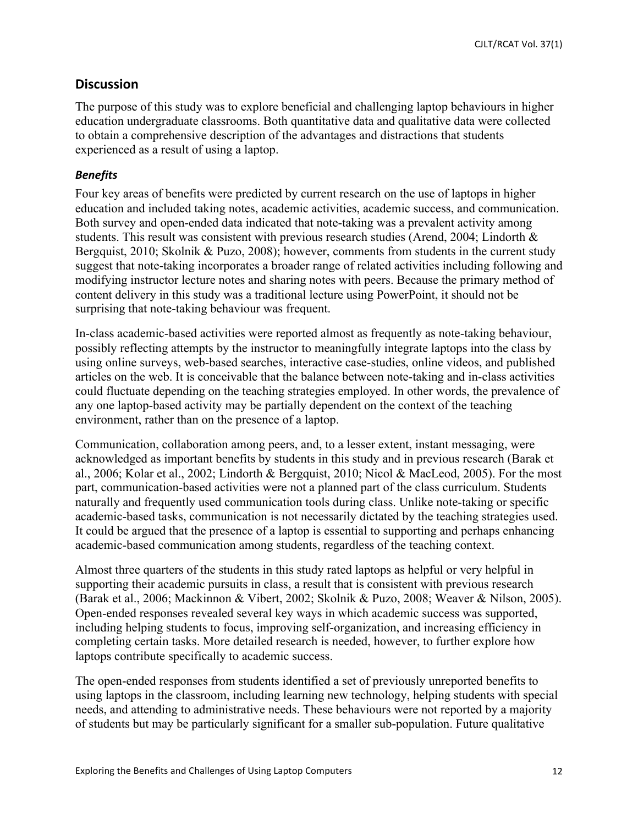CJLT/RCAT Vol. 37(1)

# **Discussion**

The purpose of this study was to explore beneficial and challenging laptop behaviours in higher education undergraduate classrooms. Both quantitative data and qualitative data were collected to obtain a comprehensive description of the advantages and distractions that students experienced as a result of using a laptop.

## *Benefits&*

Four key areas of benefits were predicted by current research on the use of laptops in higher education and included taking notes, academic activities, academic success, and communication. Both survey and open-ended data indicated that note-taking was a prevalent activity among students. This result was consistent with previous research studies (Arend, 2004; Lindorth & Bergquist, 2010; Skolnik & Puzo, 2008); however, comments from students in the current study suggest that note-taking incorporates a broader range of related activities including following and modifying instructor lecture notes and sharing notes with peers. Because the primary method of content delivery in this study was a traditional lecture using PowerPoint, it should not be surprising that note-taking behaviour was frequent.

In-class academic-based activities were reported almost as frequently as note-taking behaviour, possibly reflecting attempts by the instructor to meaningfully integrate laptops into the class by using online surveys, web-based searches, interactive case-studies, online videos, and published articles on the web. It is conceivable that the balance between note-taking and in-class activities could fluctuate depending on the teaching strategies employed. In other words, the prevalence of any one laptop-based activity may be partially dependent on the context of the teaching environment, rather than on the presence of a laptop.

Communication, collaboration among peers, and, to a lesser extent, instant messaging, were acknowledged as important benefits by students in this study and in previous research (Barak et al., 2006; Kolar et al., 2002; Lindorth & Bergquist, 2010; Nicol & MacLeod, 2005). For the most part, communication-based activities were not a planned part of the class curriculum. Students naturally and frequently used communication tools during class. Unlike note-taking or specific academic-based tasks, communication is not necessarily dictated by the teaching strategies used. It could be argued that the presence of a laptop is essential to supporting and perhaps enhancing academic-based communication among students, regardless of the teaching context.

Almost three quarters of the students in this study rated laptops as helpful or very helpful in supporting their academic pursuits in class, a result that is consistent with previous research (Barak et al., 2006; Mackinnon & Vibert, 2002; Skolnik & Puzo, 2008; Weaver & Nilson, 2005). Open-ended responses revealed several key ways in which academic success was supported, including helping students to focus, improving self-organization, and increasing efficiency in completing certain tasks. More detailed research is needed, however, to further explore how laptops contribute specifically to academic success.

The open-ended responses from students identified a set of previously unreported benefits to using laptops in the classroom, including learning new technology, helping students with special needs, and attending to administrative needs. These behaviours were not reported by a majority of students but may be particularly significant for a smaller sub-population. Future qualitative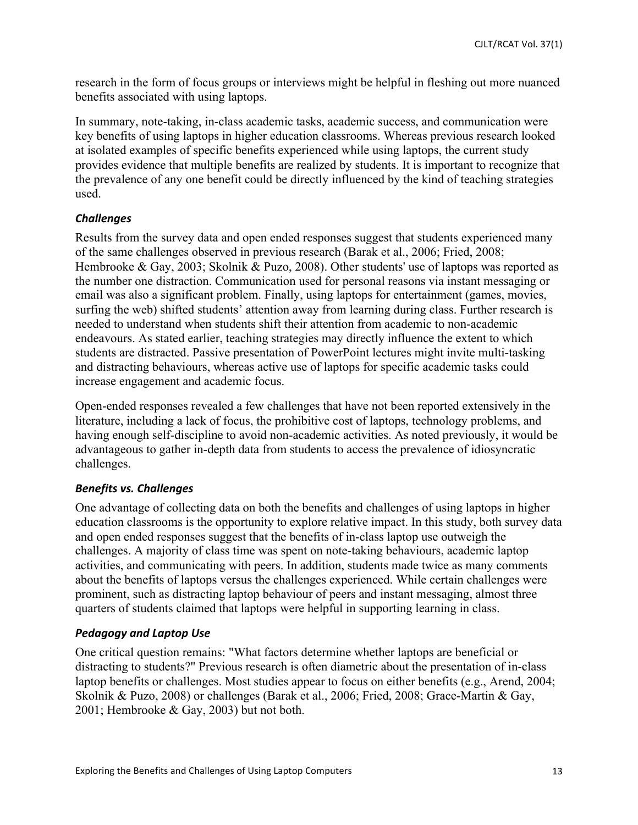research in the form of focus groups or interviews might be helpful in fleshing out more nuanced benefits associated with using laptops.

In summary, note-taking, in-class academic tasks, academic success, and communication were key benefits of using laptops in higher education classrooms. Whereas previous research looked at isolated examples of specific benefits experienced while using laptops, the current study provides evidence that multiple benefits are realized by students. It is important to recognize that the prevalence of any one benefit could be directly influenced by the kind of teaching strategies used.

# *Challenges*

Results from the survey data and open ended responses suggest that students experienced many of the same challenges observed in previous research (Barak et al., 2006; Fried, 2008; Hembrooke & Gay, 2003; Skolnik & Puzo, 2008). Other students' use of laptops was reported as the number one distraction. Communication used for personal reasons via instant messaging or email was also a significant problem. Finally, using laptops for entertainment (games, movies, surfing the web) shifted students' attention away from learning during class. Further research is needed to understand when students shift their attention from academic to non-academic endeavours. As stated earlier, teaching strategies may directly influence the extent to which students are distracted. Passive presentation of PowerPoint lectures might invite multi-tasking and distracting behaviours, whereas active use of laptops for specific academic tasks could increase engagement and academic focus.

Open-ended responses revealed a few challenges that have not been reported extensively in the literature, including a lack of focus, the prohibitive cost of laptops, technology problems, and having enough self-discipline to avoid non-academic activities. As noted previously, it would be advantageous to gather in-depth data from students to access the prevalence of idiosyncratic challenges.

# **Benefits vs. Challenges**

One advantage of collecting data on both the benefits and challenges of using laptops in higher education classrooms is the opportunity to explore relative impact. In this study, both survey data and open ended responses suggest that the benefits of in-class laptop use outweigh the challenges. A majority of class time was spent on note-taking behaviours, academic laptop activities, and communicating with peers. In addition, students made twice as many comments about the benefits of laptops versus the challenges experienced. While certain challenges were prominent, such as distracting laptop behaviour of peers and instant messaging, almost three quarters of students claimed that laptops were helpful in supporting learning in class.

# **Pedagogy and Laptop Use**

One critical question remains: "What factors determine whether laptops are beneficial or distracting to students?" Previous research is often diametric about the presentation of in-class laptop benefits or challenges. Most studies appear to focus on either benefits (e.g., Arend, 2004; Skolnik & Puzo, 2008) or challenges (Barak et al., 2006; Fried, 2008; Grace-Martin & Gay, 2001; Hembrooke & Gay, 2003) but not both.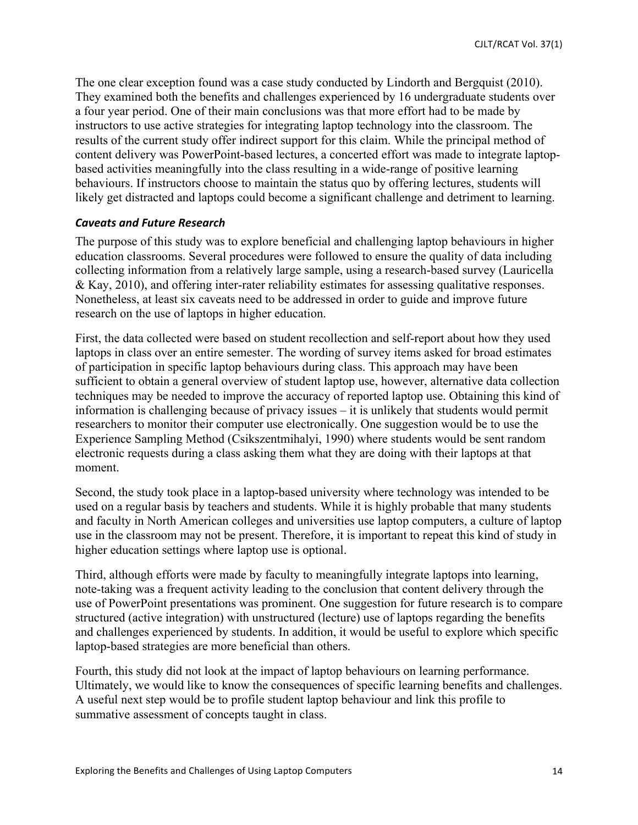The one clear exception found was a case study conducted by Lindorth and Bergquist (2010). They examined both the benefits and challenges experienced by 16 undergraduate students over a four year period. One of their main conclusions was that more effort had to be made by instructors to use active strategies for integrating laptop technology into the classroom. The results of the current study offer indirect support for this claim. While the principal method of content delivery was PowerPoint-based lectures, a concerted effort was made to integrate laptopbased activities meaningfully into the class resulting in a wide-range of positive learning behaviours. If instructors choose to maintain the status quo by offering lectures, students will likely get distracted and laptops could become a significant challenge and detriment to learning.

#### *Caveats&and&Future&Research*

The purpose of this study was to explore beneficial and challenging laptop behaviours in higher education classrooms. Several procedures were followed to ensure the quality of data including collecting information from a relatively large sample, using a research-based survey (Lauricella & Kay, 2010), and offering inter-rater reliability estimates for assessing qualitative responses. Nonetheless, at least six caveats need to be addressed in order to guide and improve future research on the use of laptops in higher education.

First, the data collected were based on student recollection and self-report about how they used laptops in class over an entire semester. The wording of survey items asked for broad estimates of participation in specific laptop behaviours during class. This approach may have been sufficient to obtain a general overview of student laptop use, however, alternative data collection techniques may be needed to improve the accuracy of reported laptop use. Obtaining this kind of information is challenging because of privacy issues – it is unlikely that students would permit researchers to monitor their computer use electronically. One suggestion would be to use the Experience Sampling Method (Csikszentmihalyi, 1990) where students would be sent random electronic requests during a class asking them what they are doing with their laptops at that moment.

Second, the study took place in a laptop-based university where technology was intended to be used on a regular basis by teachers and students. While it is highly probable that many students and faculty in North American colleges and universities use laptop computers, a culture of laptop use in the classroom may not be present. Therefore, it is important to repeat this kind of study in higher education settings where laptop use is optional.

Third, although efforts were made by faculty to meaningfully integrate laptops into learning, note-taking was a frequent activity leading to the conclusion that content delivery through the use of PowerPoint presentations was prominent. One suggestion for future research is to compare structured (active integration) with unstructured (lecture) use of laptops regarding the benefits and challenges experienced by students. In addition, it would be useful to explore which specific laptop-based strategies are more beneficial than others.

Fourth, this study did not look at the impact of laptop behaviours on learning performance. Ultimately, we would like to know the consequences of specific learning benefits and challenges. A useful next step would be to profile student laptop behaviour and link this profile to summative assessment of concepts taught in class.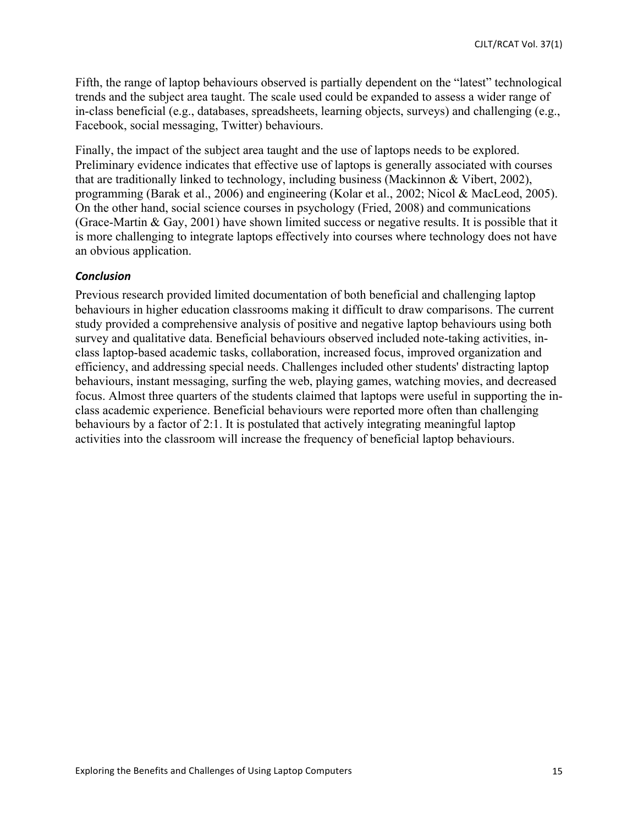Fifth, the range of laptop behaviours observed is partially dependent on the "latest" technological trends and the subject area taught. The scale used could be expanded to assess a wider range of in-class beneficial (e.g., databases, spreadsheets, learning objects, surveys) and challenging (e.g., Facebook, social messaging, Twitter) behaviours.

Finally, the impact of the subject area taught and the use of laptops needs to be explored. Preliminary evidence indicates that effective use of laptops is generally associated with courses that are traditionally linked to technology, including business (Mackinnon & Vibert, 2002), programming (Barak et al., 2006) and engineering (Kolar et al., 2002; Nicol & MacLeod, 2005). On the other hand, social science courses in psychology (Fried, 2008) and communications (Grace-Martin & Gay, 2001) have shown limited success or negative results. It is possible that it is more challenging to integrate laptops effectively into courses where technology does not have an obvious application.

# *Conclusion*

Previous research provided limited documentation of both beneficial and challenging laptop behaviours in higher education classrooms making it difficult to draw comparisons. The current study provided a comprehensive analysis of positive and negative laptop behaviours using both survey and qualitative data. Beneficial behaviours observed included note-taking activities, inclass laptop-based academic tasks, collaboration, increased focus, improved organization and efficiency, and addressing special needs. Challenges included other students' distracting laptop behaviours, instant messaging, surfing the web, playing games, watching movies, and decreased focus. Almost three quarters of the students claimed that laptops were useful in supporting the inclass academic experience. Beneficial behaviours were reported more often than challenging behaviours by a factor of 2:1. It is postulated that actively integrating meaningful laptop activities into the classroom will increase the frequency of beneficial laptop behaviours.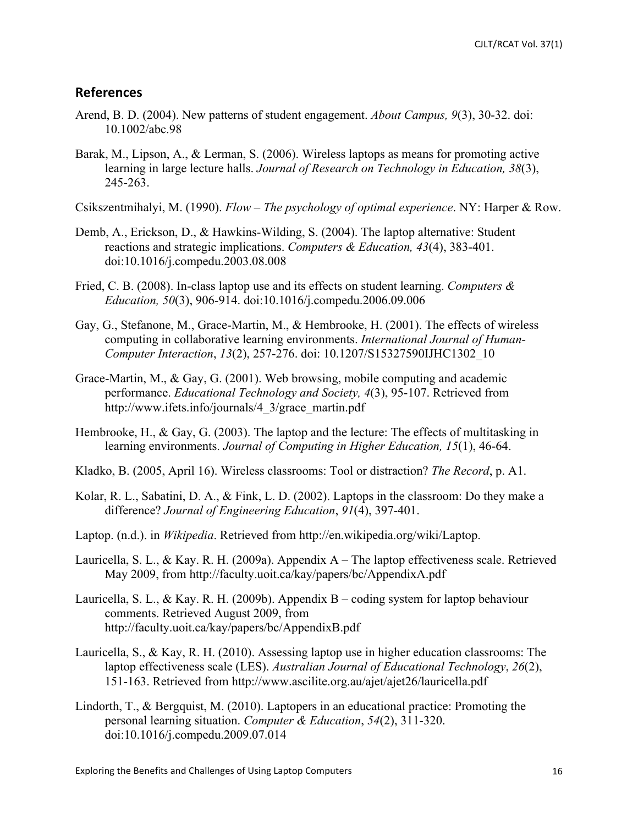# **References**

- Arend, B. D. (2004). New patterns of student engagement. *About Campus, 9*(3), 30-32. doi: 10.1002/abc.98
- Barak, M., Lipson, A., & Lerman, S. (2006). Wireless laptops as means for promoting active learning in large lecture halls. *Journal of Research on Technology in Education, 38*(3), 245-263.

Csikszentmihalyi, M. (1990). *Flow – The psychology of optimal experience*. NY: Harper & Row.

- Demb, A., Erickson, D., & Hawkins-Wilding, S. (2004). The laptop alternative: Student reactions and strategic implications. *Computers & Education, 43*(4), 383-401. doi:10.1016/j.compedu.2003.08.008
- Fried, C. B. (2008). In-class laptop use and its effects on student learning. *Computers & Education, 50*(3), 906-914. doi:10.1016/j.compedu.2006.09.006
- Gay, G., Stefanone, M., Grace-Martin, M., & Hembrooke, H. (2001). The effects of wireless computing in collaborative learning environments. *International Journal of Human-Computer Interaction*, *13*(2), 257-276. doi: 10.1207/S15327590IJHC1302\_10
- Grace-Martin, M., & Gay, G. (2001). Web browsing, mobile computing and academic performance. *Educational Technology and Society, 4*(3), 95-107. Retrieved from http://www.ifets.info/journals/4\_3/grace\_martin.pdf
- Hembrooke, H., & Gay, G. (2003). The laptop and the lecture: The effects of multitasking in learning environments. *Journal of Computing in Higher Education, 15*(1), 46-64.
- Kladko, B. (2005, April 16). Wireless classrooms: Tool or distraction? *The Record*, p. A1.
- Kolar, R. L., Sabatini, D. A., & Fink, L. D. (2002). Laptops in the classroom: Do they make a difference? *Journal of Engineering Education*, *91*(4), 397-401.
- Laptop. (n.d.). in *Wikipedia*. Retrieved from http://en.wikipedia.org/wiki/Laptop.
- Lauricella, S. L., & Kay. R. H. (2009a). Appendix A The laptop effectiveness scale. Retrieved May 2009, from http://faculty.uoit.ca/kay/papers/bc/AppendixA.pdf
- Lauricella, S. L., & Kay. R. H. (2009b). Appendix B coding system for laptop behaviour comments. Retrieved August 2009, from http://faculty.uoit.ca/kay/papers/bc/AppendixB.pdf
- Lauricella, S., & Kay, R. H. (2010). Assessing laptop use in higher education classrooms: The laptop effectiveness scale (LES). *Australian Journal of Educational Technology*, *26*(2), 151-163. Retrieved from http://www.ascilite.org.au/ajet/ajet26/lauricella.pdf
- Lindorth, T., & Bergquist, M. (2010). Laptopers in an educational practice: Promoting the personal learning situation. *Computer & Education*, *54*(2), 311-320. doi:10.1016/j.compedu.2009.07.014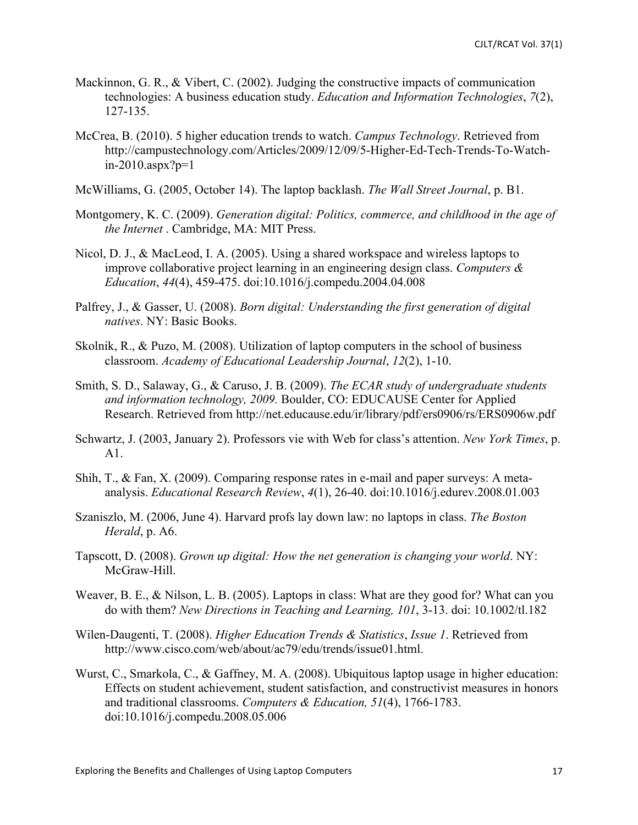- Mackinnon, G. R., & Vibert, C. (2002). Judging the constructive impacts of communication technologies: A business education study. *Education and Information Technologies*, *7*(2), 127-135.
- McCrea, B. (2010). 5 higher education trends to watch. *Campus Technology*. Retrieved from http://campustechnology.com/Articles/2009/12/09/5-Higher-Ed-Tech-Trends-To-Watchin-2010.aspx?p=1
- McWilliams, G. (2005, October 14). The laptop backlash. *The Wall Street Journal*, p. B1.
- Montgomery, K. C. (2009). *Generation digital: Politics, commerce, and childhood in the age of the Internet* . Cambridge, MA: MIT Press.
- Nicol, D. J., & MacLeod, I. A. (2005). Using a shared workspace and wireless laptops to improve collaborative project learning in an engineering design class. *Computers & Education*, *44*(4), 459-475. doi:10.1016/j.compedu.2004.04.008
- Palfrey, J., & Gasser, U. (2008). *Born digital: Understanding the first generation of digital natives*. NY: Basic Books.
- Skolnik, R., & Puzo, M. (2008). Utilization of laptop computers in the school of business classroom. *Academy of Educational Leadership Journal*, *12*(2), 1-10.
- Smith, S. D., Salaway, G., & Caruso, J. B. (2009). *The ECAR study of undergraduate students and information technology, 2009.* Boulder, CO: EDUCAUSE Center for Applied Research. Retrieved from http://net.educause.edu/ir/library/pdf/ers0906/rs/ERS0906w.pdf
- Schwartz, J. (2003, January 2). Professors vie with Web for class's attention. *New York Times*, p. A1.
- Shih, T., & Fan, X. (2009). Comparing response rates in e-mail and paper surveys: A metaanalysis. *Educational Research Review*, *4*(1), 26-40. doi:10.1016/j.edurev.2008.01.003
- Szaniszlo, M. (2006, June 4). Harvard profs lay down law: no laptops in class. *The Boston Herald*, p. A6.
- Tapscott, D. (2008). *Grown up digital: How the net generation is changing your world*. NY: McGraw-Hill.
- Weaver, B. E., & Nilson, L. B. (2005). Laptops in class: What are they good for? What can you do with them? *New Directions in Teaching and Learning, 101*, 3-13. doi: 10.1002/tl.182
- Wilen-Daugenti, T. (2008). *Higher Education Trends & Statistics*, *Issue 1*. Retrieved from http://www.cisco.com/web/about/ac79/edu/trends/issue01.html.
- Wurst, C., Smarkola, C., & Gaffney, M. A. (2008). Ubiquitous laptop usage in higher education: Effects on student achievement, student satisfaction, and constructivist measures in honors and traditional classrooms. *Computers & Education, 51*(4), 1766-1783. doi:10.1016/j.compedu.2008.05.006